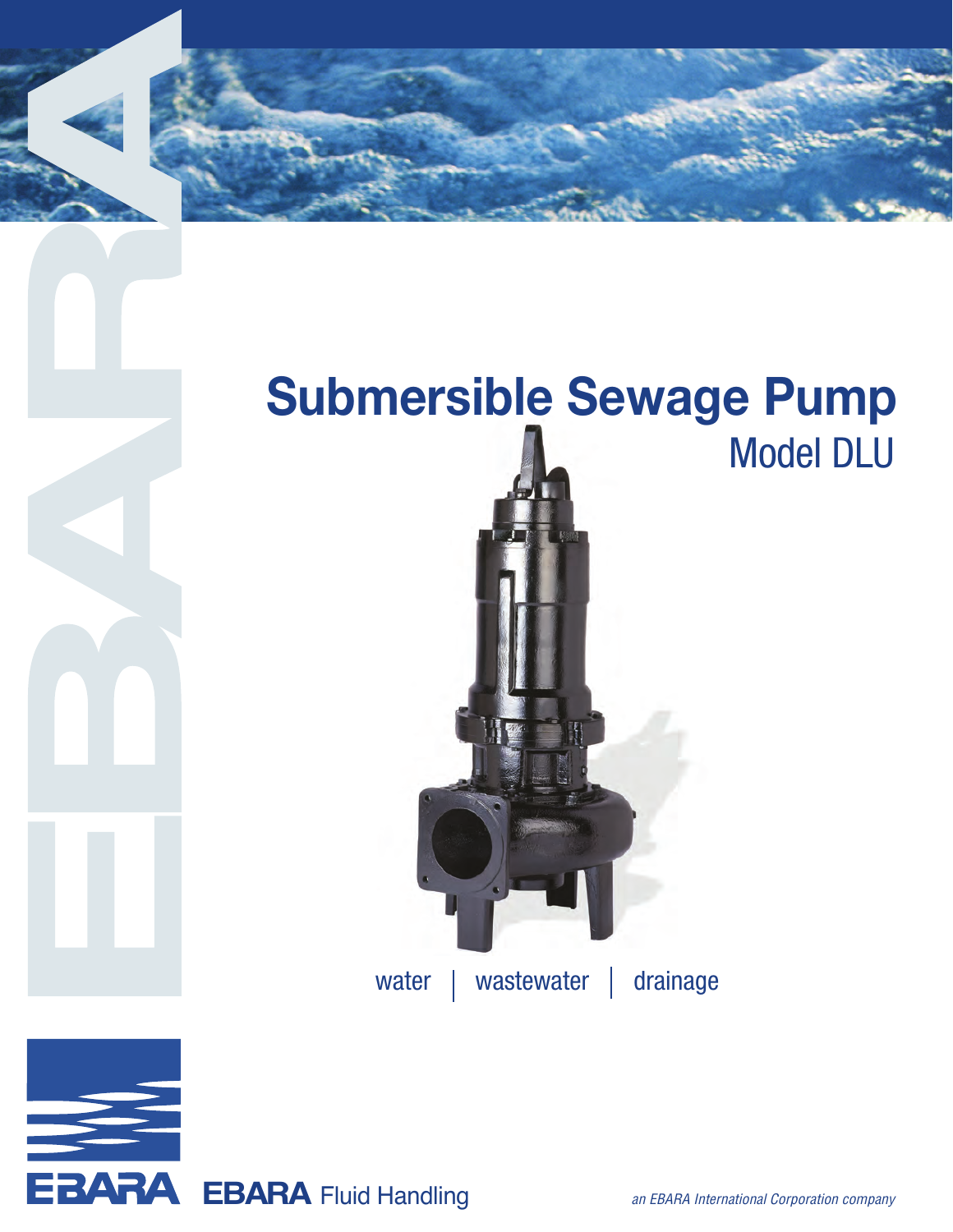



EBARA Fluid Handling **an EBARA** International Corporation company